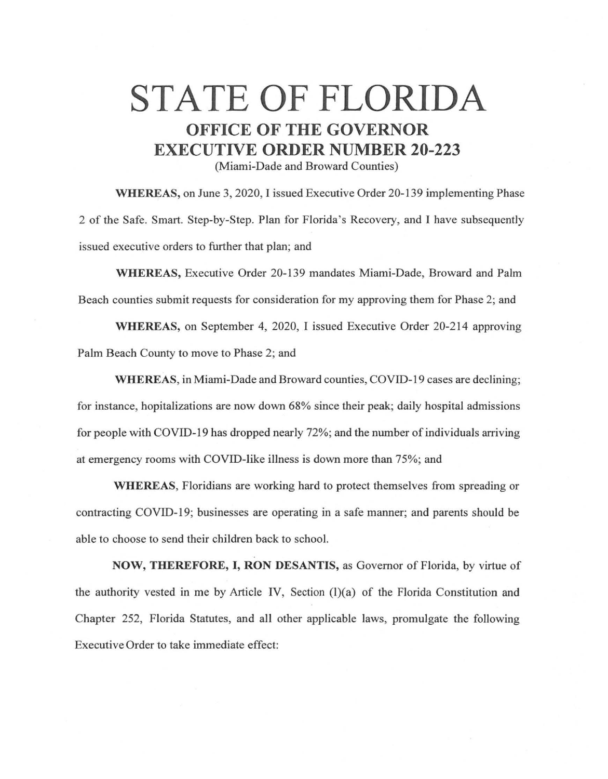## STATE OF FLORIDA **OFFICE OF THE GOVERNOR EXECUTIVE ORDER NUMBER 20-223**

(Miami-Dade and Broward Counties)

**WHEREAS,** on June 3, 2020, I issued Executive Order 20-139 implementing Phase 2 of the Safe. Smart. Step-by-Step. Plan for Florida's Recovery, and I have subsequently issued executive orders to further that plan; and

**WHEREAS,** Executive Order 20-139 mandates Miami-Dade, Broward and Palm Beach counties submit requests for consideration for my approving them for Phase 2; and

**WHEREAS,** on September 4, 2020, I issued Executive Order 20-214 approving Palm Beach County to move to Phase 2; and

**WHEREAS,** in Miami-Dade and Broward counties, COVID-19 cases are declining; for instance, hopitalizations are now down 68% since their peak; daily hospital admissions for people with COVID-19 has dropped nearly 72%; and the number of individuals arriving at emergency rooms with COVID-like illness is down more than 75%; and

**WHEREAS,** Floridians are working hard to protect themselves from spreading or contracting COVID-19; businesses are operating in a safe manner; and parents should be able to choose to send their children back to school.

**NOW, THEREFORE,** I, **RON DESANTIS,** as Governor of Florida, by virtue of the authority vested in me by Article IV, Section (l)(a) of the Florida Constitution and Chapter 252, Florida Statutes, and all other applicable laws, promulgate the following Executive Order to take immediate effect: